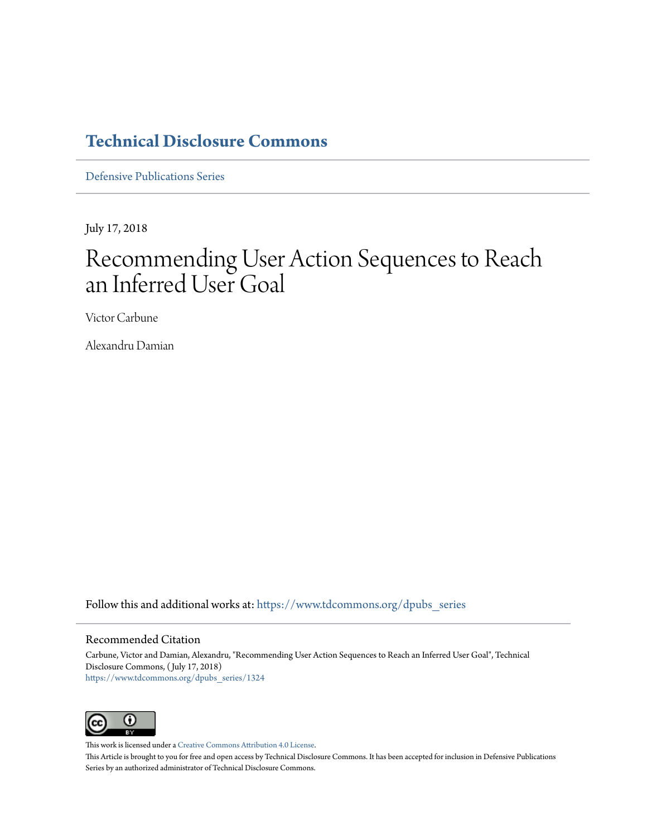# **[Technical Disclosure Commons](https://www.tdcommons.org?utm_source=www.tdcommons.org%2Fdpubs_series%2F1324&utm_medium=PDF&utm_campaign=PDFCoverPages)**

[Defensive Publications Series](https://www.tdcommons.org/dpubs_series?utm_source=www.tdcommons.org%2Fdpubs_series%2F1324&utm_medium=PDF&utm_campaign=PDFCoverPages)

July 17, 2018

# Recommending User Action Sequences to Reach an Inferred User Goal

Victor Carbune

Alexandru Damian

Follow this and additional works at: [https://www.tdcommons.org/dpubs\\_series](https://www.tdcommons.org/dpubs_series?utm_source=www.tdcommons.org%2Fdpubs_series%2F1324&utm_medium=PDF&utm_campaign=PDFCoverPages)

#### Recommended Citation

Carbune, Victor and Damian, Alexandru, "Recommending User Action Sequences to Reach an Inferred User Goal", Technical Disclosure Commons, ( July 17, 2018) [https://www.tdcommons.org/dpubs\\_series/1324](https://www.tdcommons.org/dpubs_series/1324?utm_source=www.tdcommons.org%2Fdpubs_series%2F1324&utm_medium=PDF&utm_campaign=PDFCoverPages)



This work is licensed under a [Creative Commons Attribution 4.0 License.](http://creativecommons.org/licenses/by/4.0/deed.en_US)

This Article is brought to you for free and open access by Technical Disclosure Commons. It has been accepted for inclusion in Defensive Publications Series by an authorized administrator of Technical Disclosure Commons.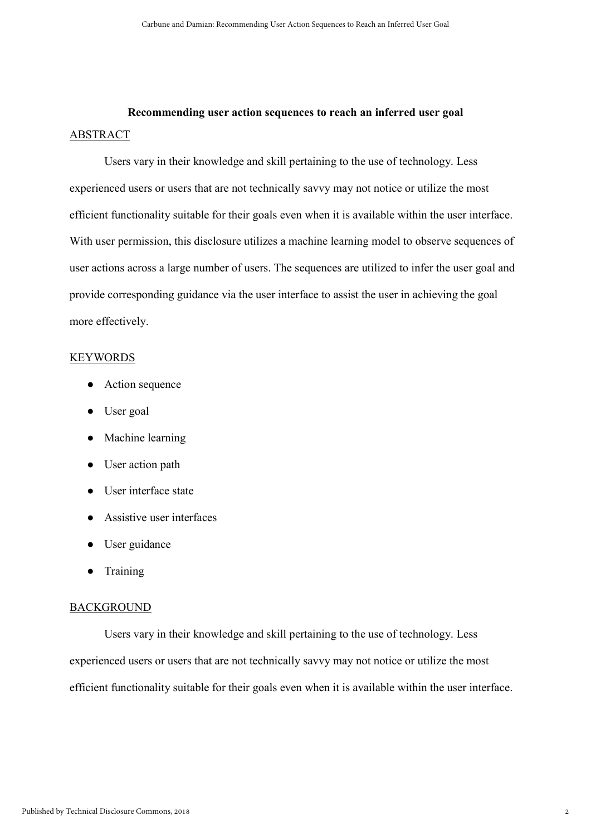## Recommending user action sequences to reach an inferred user goal ABSTRACT

Users vary in their knowledge and skill pertaining to the use of technology. Less experienced users or users that are not technically savvy may not notice or utilize the most efficient functionality suitable for their goals even when it is available within the user interface. With user permission, this disclosure utilizes a machine learning model to observe sequences of user actions across a large number of users. The sequences are utilized to infer the user goal and provide corresponding guidance via the user interface to assist the user in achieving the goal more effectively.

#### **KEYWORDS**

- Action sequence
- User goal
- Machine learning
- User action path
- User interface state
- Assistive user interfaces
- User guidance
- **Training**

### BACKGROUND

Users vary in their knowledge and skill pertaining to the use of technology. Less experienced users or users that are not technically savvy may not notice or utilize the most efficient functionality suitable for their goals even when it is available within the user interface.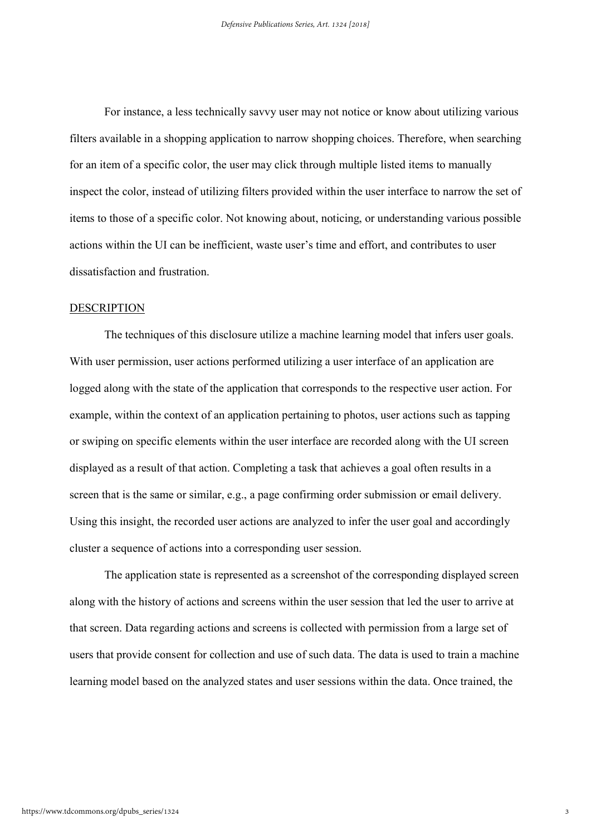For instance, a less technically savvy user may not notice or know about utilizing various filters available in a shopping application to narrow shopping choices. Therefore, when searching for an item of a specific color, the user may click through multiple listed items to manually inspect the color, instead of utilizing filters provided within the user interface to narrow the set of items to those of a specific color. Not knowing about, noticing, or understanding various possible actions within the UI can be inefficient, waste user's time and effort, and contributes to user dissatisfaction and frustration.

#### DESCRIPTION

The techniques of this disclosure utilize a machine learning model that infers user goals. With user permission, user actions performed utilizing a user interface of an application are logged along with the state of the application that corresponds to the respective user action. For example, within the context of an application pertaining to photos, user actions such as tapping or swiping on specific elements within the user interface are recorded along with the UI screen displayed as a result of that action. Completing a task that achieves a goal often results in a screen that is the same or similar, e.g., a page confirming order submission or email delivery. Using this insight, the recorded user actions are analyzed to infer the user goal and accordingly cluster a sequence of actions into a corresponding user session.

The application state is represented as a screenshot of the corresponding displayed screen along with the history of actions and screens within the user session that led the user to arrive at that screen. Data regarding actions and screens is collected with permission from a large set of users that provide consent for collection and use of such data. The data is used to train a machine learning model based on the analyzed states and user sessions within the data. Once trained, the

3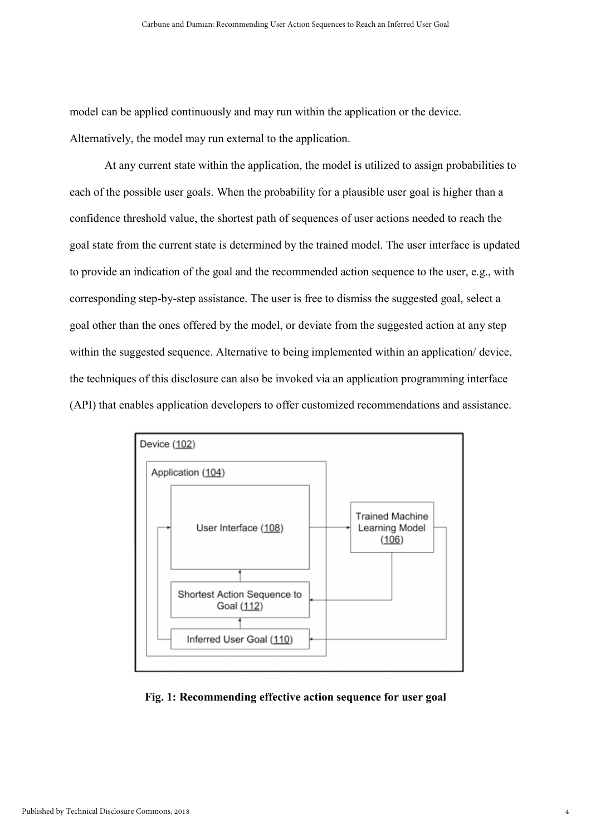model can be applied continuously and may run within the application or the device. Alternatively, the model may run external to the application.

At any current state within the application, the model is utilized to assign probabilities to each of the possible user goals. When the probability for a plausible user goal is higher than a confidence threshold value, the shortest path of sequences of user actions needed to reach the goal state from the current state is determined by the trained model. The user interface is updated to provide an indication of the goal and the recommended action sequence to the user, e.g., with corresponding step-by-step assistance. The user is free to dismiss the suggested goal, select a goal other than the ones offered by the model, or deviate from the suggested action at any step within the suggested sequence. Alternative to being implemented within an application/ device, the techniques of this disclosure can also be invoked via an application programming interface (API) that enables application developers to offer customized recommendations and assistance.



Fig. 1: Recommending effective action sequence for user goal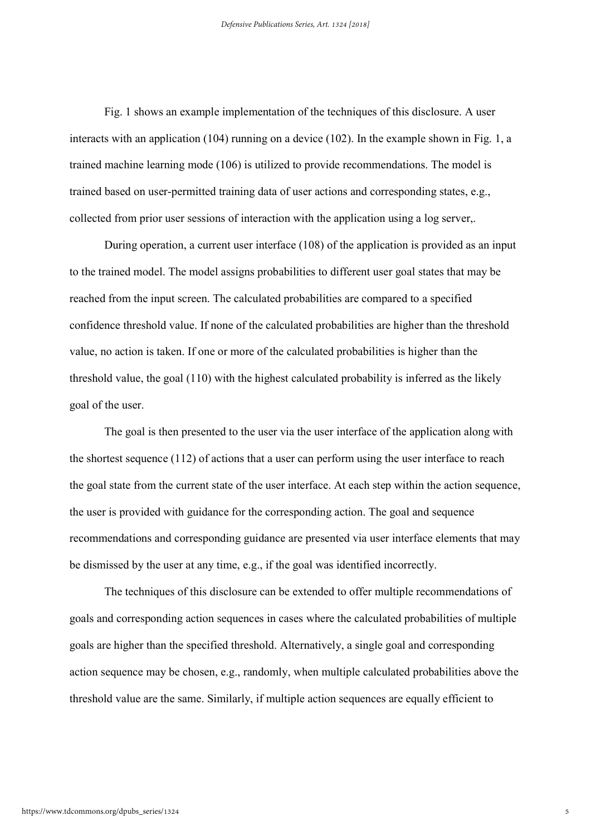Fig. 1 shows an example implementation of the techniques of this disclosure. A user interacts with an application (104) running on a device (102). In the example shown in Fig. 1, a trained machine learning mode (106) is utilized to provide recommendations. The model is trained based on user-permitted training data of user actions and corresponding states, e.g., collected from prior user sessions of interaction with the application using a log server,.

During operation, a current user interface (108) of the application is provided as an input to the trained model. The model assigns probabilities to different user goal states that may be reached from the input screen. The calculated probabilities are compared to a specified confidence threshold value. If none of the calculated probabilities are higher than the threshold value, no action is taken. If one or more of the calculated probabilities is higher than the threshold value, the goal (110) with the highest calculated probability is inferred as the likely goal of the user.

The goal is then presented to the user via the user interface of the application along with the shortest sequence (112) of actions that a user can perform using the user interface to reach the goal state from the current state of the user interface. At each step within the action sequence, the user is provided with guidance for the corresponding action. The goal and sequence recommendations and corresponding guidance are presented via user interface elements that may be dismissed by the user at any time, e.g., if the goal was identified incorrectly.

The techniques of this disclosure can be extended to offer multiple recommendations of goals and corresponding action sequences in cases where the calculated probabilities of multiple goals are higher than the specified threshold. Alternatively, a single goal and corresponding action sequence may be chosen, e.g., randomly, when multiple calculated probabilities above the threshold value are the same. Similarly, if multiple action sequences are equally efficient to

5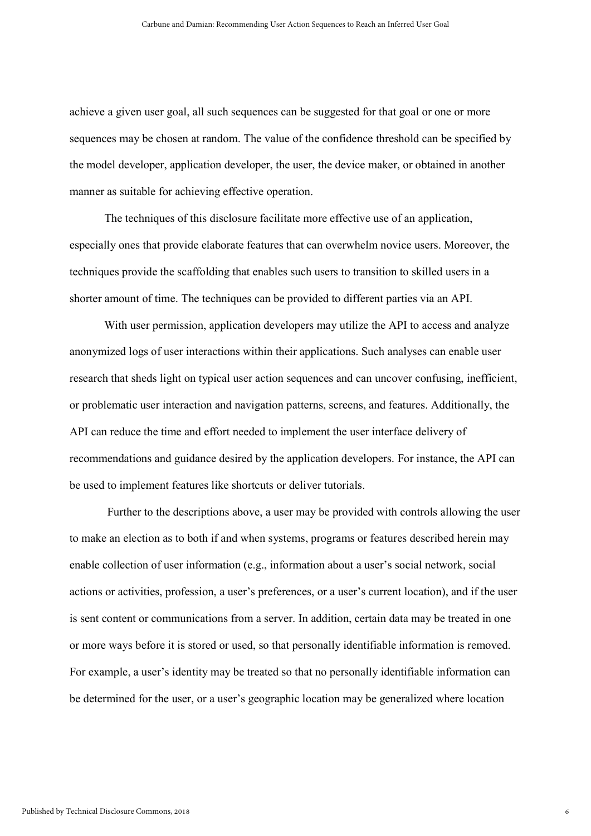achieve a given user goal, all such sequences can be suggested for that goal or one or more sequences may be chosen at random. The value of the confidence threshold can be specified by the model developer, application developer, the user, the device maker, or obtained in another manner as suitable for achieving effective operation.

The techniques of this disclosure facilitate more effective use of an application, especially ones that provide elaborate features that can overwhelm novice users. Moreover, the techniques provide the scaffolding that enables such users to transition to skilled users in a shorter amount of time. The techniques can be provided to different parties via an API.

With user permission, application developers may utilize the API to access and analyze anonymized logs of user interactions within their applications. Such analyses can enable user research that sheds light on typical user action sequences and can uncover confusing, inefficient, or problematic user interaction and navigation patterns, screens, and features. Additionally, the API can reduce the time and effort needed to implement the user interface delivery of recommendations and guidance desired by the application developers. For instance, the API can be used to implement features like shortcuts or deliver tutorials.

 Further to the descriptions above, a user may be provided with controls allowing the user to make an election as to both if and when systems, programs or features described herein may enable collection of user information (e.g., information about a user's social network, social actions or activities, profession, a user's preferences, or a user's current location), and if the user is sent content or communications from a server. In addition, certain data may be treated in one or more ways before it is stored or used, so that personally identifiable information is removed. For example, a user's identity may be treated so that no personally identifiable information can be determined for the user, or a user's geographic location may be generalized where location